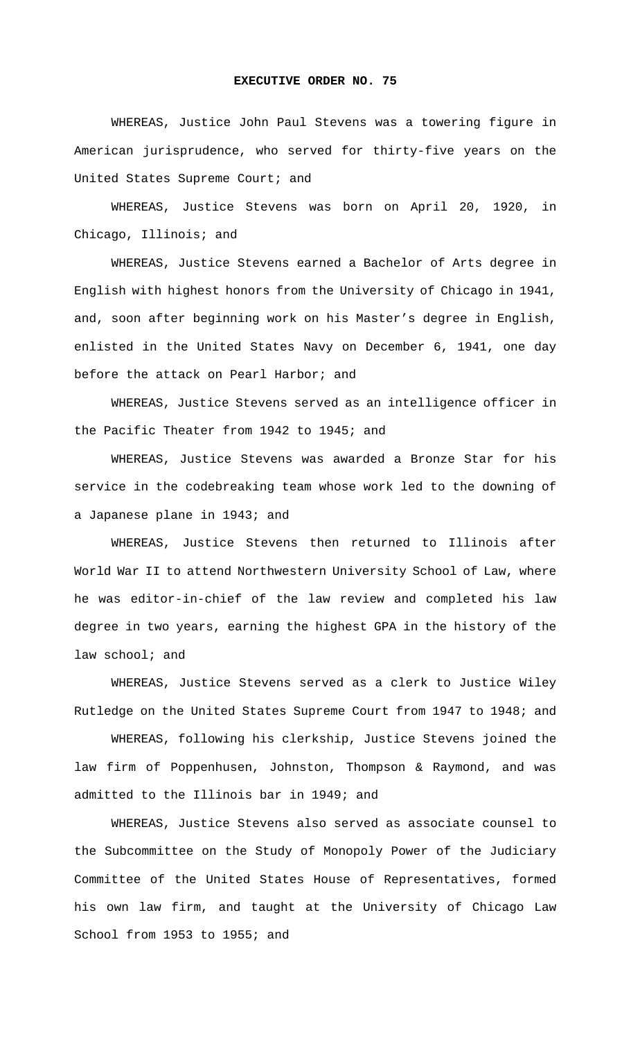## **EXECUTIVE ORDER NO. 75**

 WHEREAS, Justice John Paul Stevens was a towering figure in American jurisprudence, who served for thirty-five years on the United States Supreme Court; and

WHEREAS, Justice Stevens was born on April 20, 1920, in Chicago, Illinois; and

WHEREAS, Justice Stevens earned a Bachelor of Arts degree in English with highest honors from the University of Chicago in 1941, and, soon after beginning work on his Master's degree in English, enlisted in the United States Navy on December 6, 1941, one day before the attack on Pearl Harbor; and

WHEREAS, Justice Stevens served as an intelligence officer in the Pacific Theater from 1942 to 1945; and

WHEREAS, Justice Stevens was awarded a Bronze Star for his service in the codebreaking team whose work led to the downing of a Japanese plane in 1943; and

WHEREAS, Justice Stevens then returned to Illinois after World War II to attend Northwestern University School of Law, where he was editor-in-chief of the law review and completed his law degree in two years, earning the highest GPA in the history of the law school; and

WHEREAS, Justice Stevens served as a clerk to Justice Wiley Rutledge on the United States Supreme Court from 1947 to 1948; and

WHEREAS, following his clerkship, Justice Stevens joined the law firm of Poppenhusen, Johnston, Thompson & Raymond, and was admitted to the Illinois bar in 1949; and

WHEREAS, Justice Stevens also served as associate counsel to the Subcommittee on the Study of Monopoly Power of the Judiciary Committee of the United States House of Representatives, formed his own law firm, and taught at the University of Chicago Law School from 1953 to 1955; and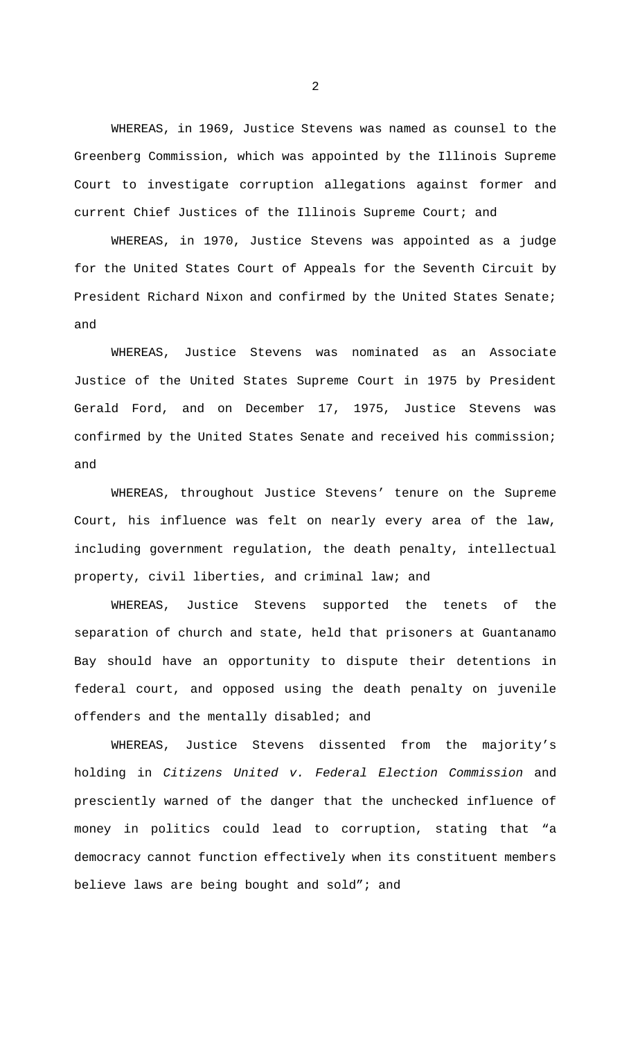WHEREAS, in 1969, Justice Stevens was named as counsel to the Greenberg Commission, which was appointed by the Illinois Supreme Court to investigate corruption allegations against former and current Chief Justices of the Illinois Supreme Court; and

WHEREAS, in 1970, Justice Stevens was appointed as a judge for the United States Court of Appeals for the Seventh Circuit by President Richard Nixon and confirmed by the United States Senate; and

WHEREAS, Justice Stevens was nominated as an Associate Justice of the United States Supreme Court in 1975 by President Gerald Ford, and on December 17, 1975, Justice Stevens was confirmed by the United States Senate and received his commission; and

WHEREAS, throughout Justice Stevens' tenure on the Supreme Court, his influence was felt on nearly every area of the law, including government regulation, the death penalty, intellectual property, civil liberties, and criminal law; and

WHEREAS, Justice Stevens supported the tenets of the separation of church and state, held that prisoners at Guantanamo Bay should have an opportunity to dispute their detentions in federal court, and opposed using the death penalty on juvenile offenders and the mentally disabled; and

WHEREAS, Justice Stevens dissented from the majority's holding in *Citizens United v. Federal Election Commission* and presciently warned of the danger that the unchecked influence of money in politics could lead to corruption, stating that "a democracy cannot function effectively when its constituent members believe laws are being bought and sold"; and

2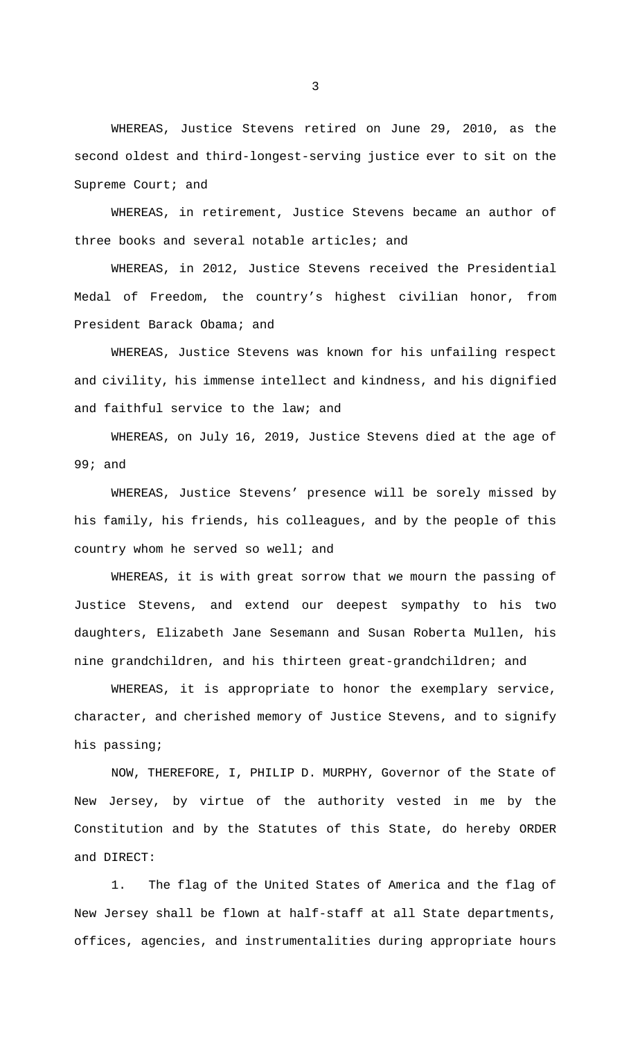WHEREAS, Justice Stevens retired on June 29, 2010, as the second oldest and third-longest-serving justice ever to sit on the Supreme Court; and

WHEREAS, in retirement, Justice Stevens became an author of three books and several notable articles; and

WHEREAS, in 2012, Justice Stevens received the Presidential Medal of Freedom, the country's highest civilian honor, from President Barack Obama; and

WHEREAS, Justice Stevens was known for his unfailing respect and civility, his immense intellect and kindness, and his dignified and faithful service to the law; and

WHEREAS, on July 16, 2019, Justice Stevens died at the age of 99; and

WHEREAS, Justice Stevens' presence will be sorely missed by his family, his friends, his colleagues, and by the people of this country whom he served so well; and

WHEREAS, it is with great sorrow that we mourn the passing of Justice Stevens, and extend our deepest sympathy to his two daughters, Elizabeth Jane Sesemann and Susan Roberta Mullen, his nine grandchildren, and his thirteen great-grandchildren; and

WHEREAS, it is appropriate to honor the exemplary service, character, and cherished memory of Justice Stevens, and to signify his passing;

 NOW, THEREFORE, I, PHILIP D. MURPHY, Governor of the State of New Jersey, by virtue of the authority vested in me by the Constitution and by the Statutes of this State, do hereby ORDER and DIRECT:

1. The flag of the United States of America and the flag of New Jersey shall be flown at half-staff at all State departments, offices, agencies, and instrumentalities during appropriate hours

3